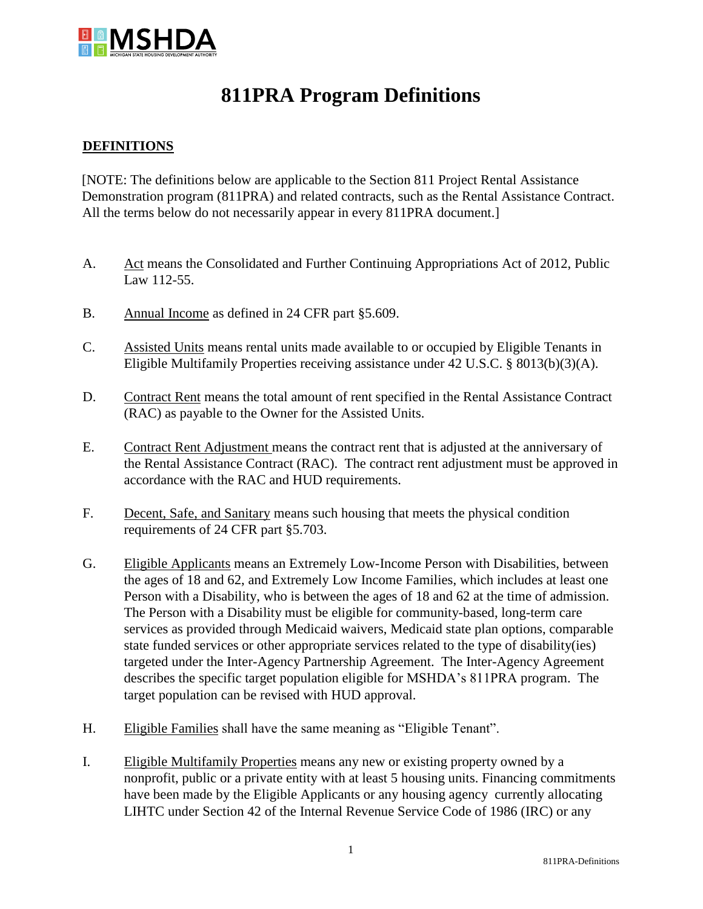

## **811PRA Program Definitions**

## **DEFINITIONS**

[NOTE: The definitions below are applicable to the Section 811 Project Rental Assistance Demonstration program (811PRA) and related contracts, such as the Rental Assistance Contract. All the terms below do not necessarily appear in every 811PRA document.]

- A. Act means the Consolidated and Further Continuing Appropriations Act of 2012, Public Law 112-55.
- B. Annual Income as defined in 24 CFR part §5.609.
- C. Assisted Units means rental units made available to or occupied by Eligible Tenants in Eligible Multifamily Properties receiving assistance under 42 U.S.C. § 8013(b)(3)(A).
- D. Contract Rent means the total amount of rent specified in the Rental Assistance Contract (RAC) as payable to the Owner for the Assisted Units.
- E. Contract Rent Adjustment means the contract rent that is adjusted at the anniversary of the Rental Assistance Contract (RAC). The contract rent adjustment must be approved in accordance with the RAC and HUD requirements.
- F. Decent, Safe, and Sanitary means such housing that meets the physical condition requirements of 24 CFR part §5.703.
- G. Eligible Applicants means an Extremely Low-Income Person with Disabilities, between the ages of 18 and 62, and Extremely Low Income Families, which includes at least one Person with a Disability, who is between the ages of 18 and 62 at the time of admission. The Person with a Disability must be eligible for community-based, long-term care services as provided through Medicaid waivers, Medicaid state plan options, comparable state funded services or other appropriate services related to the type of disability(ies) targeted under the Inter-Agency Partnership Agreement. The Inter-Agency Agreement describes the specific target population eligible for MSHDA's 811PRA program. The target population can be revised with HUD approval.
- H. Eligible Families shall have the same meaning as "Eligible Tenant".
- I. Eligible Multifamily Properties means any new or existing property owned by a nonprofit, public or a private entity with at least 5 housing units. Financing commitments have been made by the Eligible Applicants or any housing agency currently allocating LIHTC under Section 42 of the Internal Revenue Service Code of 1986 (IRC) or any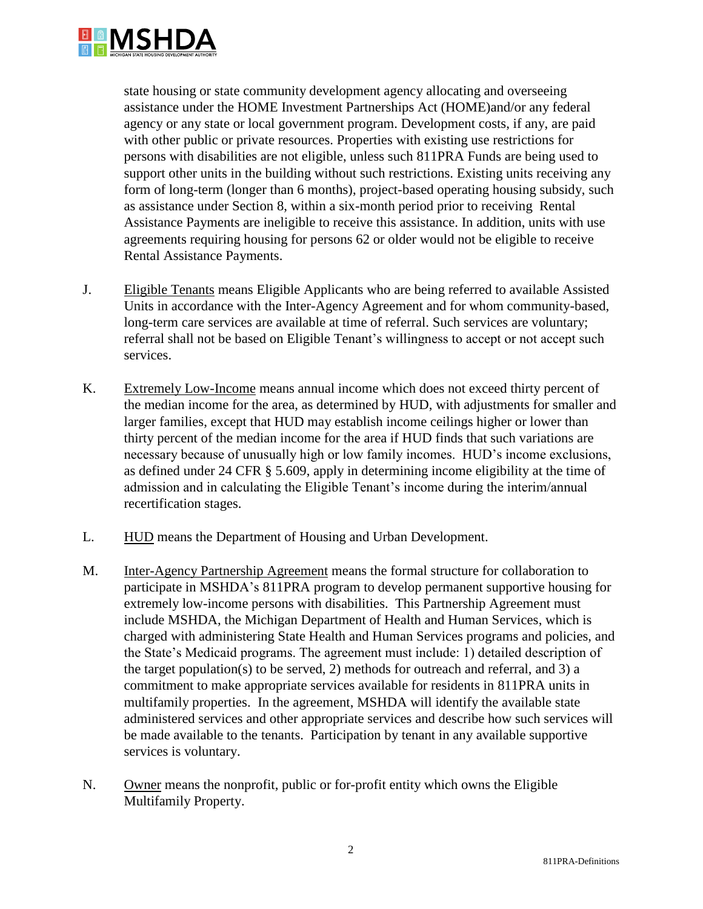

state housing or state community development agency allocating and overseeing assistance under the HOME Investment Partnerships Act (HOME)and/or any federal agency or any state or local government program. Development costs, if any, are paid with other public or private resources. Properties with existing use restrictions for persons with disabilities are not eligible, unless such 811PRA Funds are being used to support other units in the building without such restrictions. Existing units receiving any form of long-term (longer than 6 months), project-based operating housing subsidy, such as assistance under Section 8, within a six-month period prior to receiving Rental Assistance Payments are ineligible to receive this assistance. In addition, units with use agreements requiring housing for persons 62 or older would not be eligible to receive Rental Assistance Payments.

- J. Eligible Tenants means Eligible Applicants who are being referred to available Assisted Units in accordance with the Inter-Agency Agreement and for whom community-based, long-term care services are available at time of referral. Such services are voluntary; referral shall not be based on Eligible Tenant's willingness to accept or not accept such services.
- K. Extremely Low-Income means annual income which does not exceed thirty percent of the median income for the area, as determined by HUD, with adjustments for smaller and larger families, except that HUD may establish income ceilings higher or lower than thirty percent of the median income for the area if HUD finds that such variations are necessary because of unusually high or low family incomes. HUD's income exclusions, as defined under 24 CFR § 5.609, apply in determining income eligibility at the time of admission and in calculating the Eligible Tenant's income during the interim/annual recertification stages.
- L. HUD means the Department of Housing and Urban Development.
- M. Inter-Agency Partnership Agreement means the formal structure for collaboration to participate in MSHDA's 811PRA program to develop permanent supportive housing for extremely low-income persons with disabilities. This Partnership Agreement must include MSHDA, the Michigan Department of Health and Human Services, which is charged with administering State Health and Human Services programs and policies, and the State's Medicaid programs. The agreement must include: 1) detailed description of the target population(s) to be served, 2) methods for outreach and referral, and 3) a commitment to make appropriate services available for residents in 811PRA units in multifamily properties. In the agreement, MSHDA will identify the available state administered services and other appropriate services and describe how such services will be made available to the tenants. Participation by tenant in any available supportive services is voluntary.
- N. Owner means the nonprofit, public or for-profit entity which owns the Eligible Multifamily Property.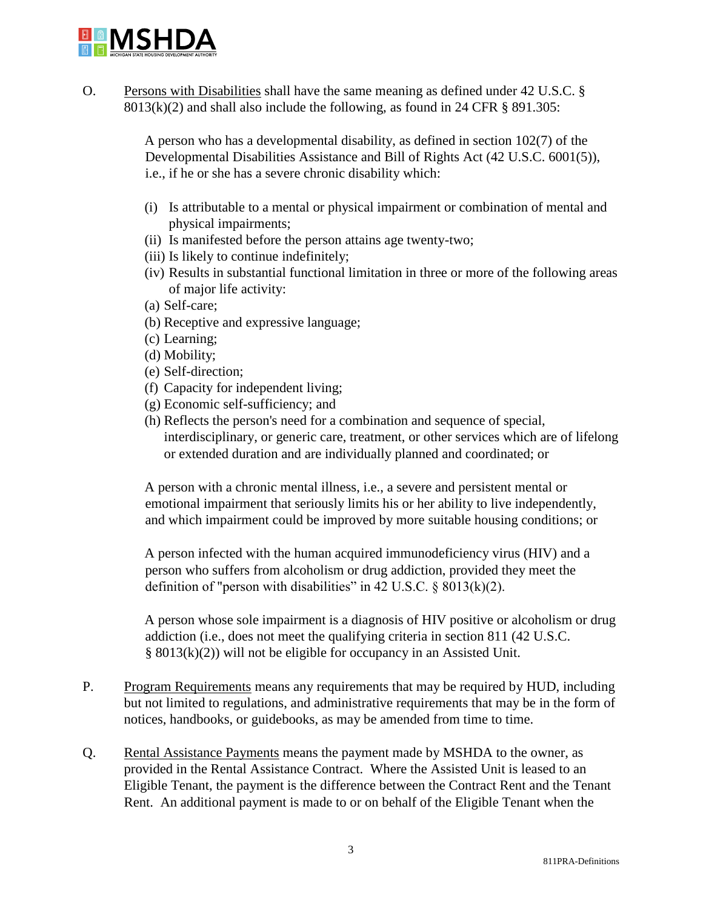

O. Persons with Disabilities shall have the same meaning as defined under 42 U.S.C. § 8013(k)(2) and shall also include the following, as found in 24 CFR § 891.305:

> A person who has a developmental disability, as defined in section 102(7) of the Developmental Disabilities Assistance and Bill of Rights Act (42 U.S.C. 6001(5)), i.e., if he or she has a severe chronic disability which:

- (i) Is attributable to a mental or physical impairment or combination of mental and physical impairments;
- (ii) Is manifested before the person attains age twenty-two;
- (iii) Is likely to continue indefinitely;
- (iv) Results in substantial functional limitation in three or more of the following areas of major life activity:
- (a) Self-care;
- (b) Receptive and expressive language;
- (c) Learning;
- (d) Mobility;
- (e) Self-direction;
- (f) Capacity for independent living;
- (g) Economic self-sufficiency; and
- (h) Reflects the person's need for a combination and sequence of special, interdisciplinary, or generic care, treatment, or other services which are of lifelong or extended duration and are individually planned and coordinated; or

A person with a chronic mental illness, i.e., a severe and persistent mental or emotional impairment that seriously limits his or her ability to live independently, and which impairment could be improved by more suitable housing conditions; or

A person infected with the human acquired immunodeficiency virus (HIV) and a person who suffers from alcoholism or drug addiction, provided they meet the definition of "person with disabilities" in 42 U.S.C.  $\S$  8013(k)(2).

A person whose sole impairment is a diagnosis of HIV positive or alcoholism or drug addiction (i.e., does not meet the qualifying criteria in section 811 (42 U.S.C. § 8013(k)(2)) will not be eligible for occupancy in an Assisted Unit.

- P. Program Requirements means any requirements that may be required by HUD, including but not limited to regulations, and administrative requirements that may be in the form of notices, handbooks, or guidebooks, as may be amended from time to time.
- Q. Rental Assistance Payments means the payment made by MSHDA to the owner, as provided in the Rental Assistance Contract. Where the Assisted Unit is leased to an Eligible Tenant, the payment is the difference between the Contract Rent and the Tenant Rent. An additional payment is made to or on behalf of the Eligible Tenant when the